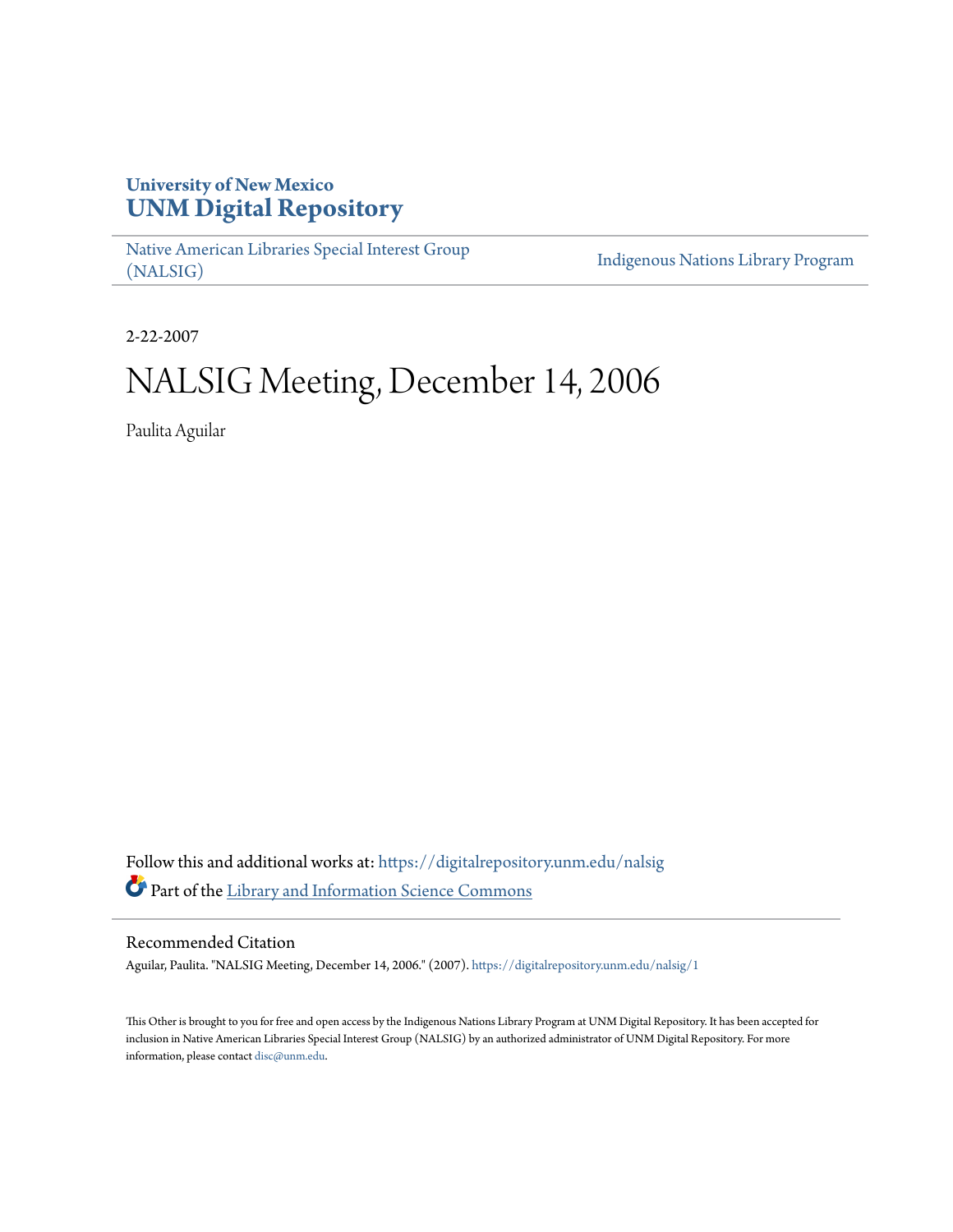## **University of New Mexico [UNM Digital Repository](https://digitalrepository.unm.edu?utm_source=digitalrepository.unm.edu%2Fnalsig%2F1&utm_medium=PDF&utm_campaign=PDFCoverPages)**

[Native American Libraries Special Interest Group](https://digitalrepository.unm.edu/nalsig?utm_source=digitalrepository.unm.edu%2Fnalsig%2F1&utm_medium=PDF&utm_campaign=PDFCoverPages) [\(NALSIG\)](https://digitalrepository.unm.edu/nalsig?utm_source=digitalrepository.unm.edu%2Fnalsig%2F1&utm_medium=PDF&utm_campaign=PDFCoverPages)

[Indigenous Nations Library Program](https://digitalrepository.unm.edu/inlp?utm_source=digitalrepository.unm.edu%2Fnalsig%2F1&utm_medium=PDF&utm_campaign=PDFCoverPages)

2-22-2007

# NALSIG Meeting, December 14, 2006

Paulita Aguilar

Follow this and additional works at: [https://digitalrepository.unm.edu/nalsig](https://digitalrepository.unm.edu/nalsig?utm_source=digitalrepository.unm.edu%2Fnalsig%2F1&utm_medium=PDF&utm_campaign=PDFCoverPages) Part of the [Library and Information Science Commons](http://network.bepress.com/hgg/discipline/1018?utm_source=digitalrepository.unm.edu%2Fnalsig%2F1&utm_medium=PDF&utm_campaign=PDFCoverPages)

#### Recommended Citation

Aguilar, Paulita. "NALSIG Meeting, December 14, 2006." (2007). [https://digitalrepository.unm.edu/nalsig/1](https://digitalrepository.unm.edu/nalsig/1?utm_source=digitalrepository.unm.edu%2Fnalsig%2F1&utm_medium=PDF&utm_campaign=PDFCoverPages)

This Other is brought to you for free and open access by the Indigenous Nations Library Program at UNM Digital Repository. It has been accepted for inclusion in Native American Libraries Special Interest Group (NALSIG) by an authorized administrator of UNM Digital Repository. For more information, please contact [disc@unm.edu.](mailto:disc@unm.edu)